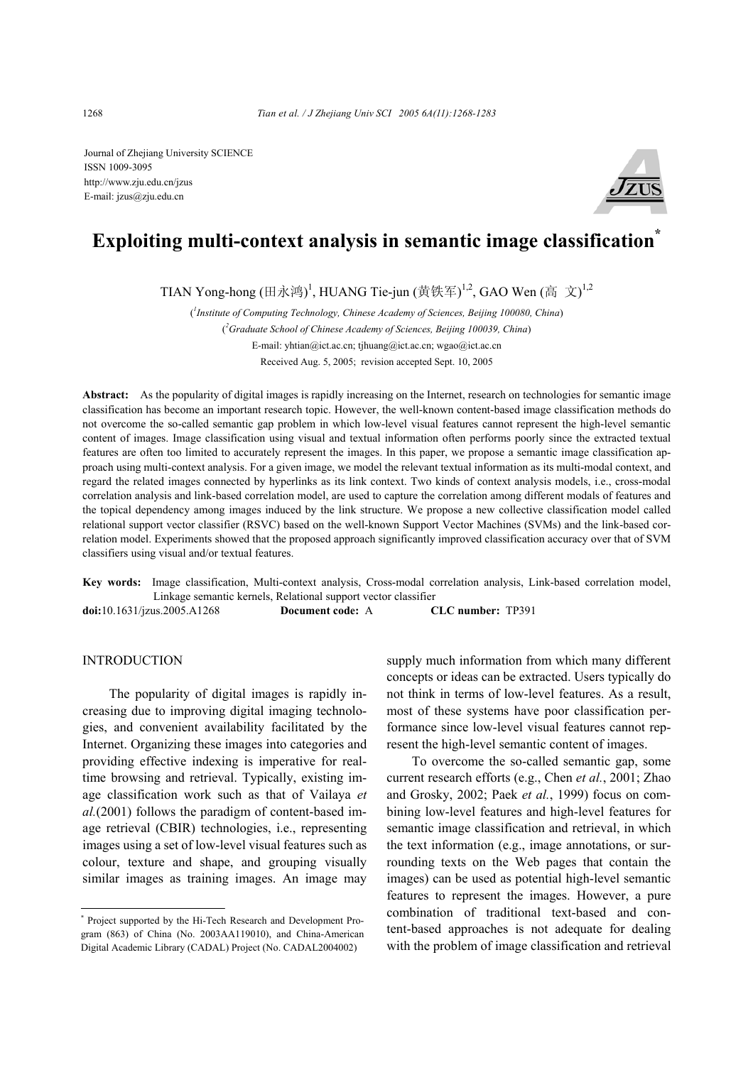Journal of Zhejiang University SCIENCE ISSN 1009-3095 http://www.zju.edu.cn/jzus E-mail: jzus@zju.edu.cn



# **Exploiting multi-context analysis in semantic image classification\***

TIAN Yong-hong (田永鸿)<sup>1</sup>, HUANG Tie-jun (黄铁军)<sup>1,2</sup>, GAO Wen (高 文)<sup>1,2</sup>

( *1 Institute of Computing Technology, Chinese Academy of Sciences, Beijing 100080, China*) ( *2 Graduate School of Chinese Academy of Sciences, Beijing 100039, China*) E-mail: yhtian@ict.ac.cn; tjhuang@ict.ac.cn; wgao@ict.ac.cn Received Aug. 5, 2005; revision accepted Sept. 10, 2005

Abstract: As the popularity of digital images is rapidly increasing on the Internet, research on technologies for semantic image classification has become an important research topic. However, the well-known content-based image classification methods do not overcome the so-called semantic gap problem in which low-level visual features cannot represent the high-level semantic content of images. Image classification using visual and textual information often performs poorly since the extracted textual features are often too limited to accurately represent the images. In this paper, we propose a semantic image classification approach using multi-context analysis. For a given image, we model the relevant textual information as its multi-modal context, and regard the related images connected by hyperlinks as its link context. Two kinds of context analysis models, i.e., cross-modal correlation analysis and link-based correlation model, are used to capture the correlation among different modals of features and the topical dependency among images induced by the link structure. We propose a new collective classification model called relational support vector classifier (RSVC) based on the well-known Support Vector Machines (SVMs) and the link-based correlation model. Experiments showed that the proposed approach significantly improved classification accuracy over that of SVM classifiers using visual and/or textual features.

**Key words:** Image classification, Multi-context analysis, Cross-modal correlation analysis, Link-based correlation model, Linkage semantic kernels, Relational support vector classifier **doi:**10.1631/jzus.2005.A1268 **Document code:** A **CLC number:** TP391

### INTRODUCTION

The popularity of digital images is rapidly increasing due to improving digital imaging technologies, and convenient availability facilitated by the Internet. Organizing these images into categories and providing effective indexing is imperative for realtime browsing and retrieval. Typically, existing image classification work such as that of Vailaya *et al.*(2001) follows the paradigm of content-based image retrieval (CBIR) technologies, i.e., representing images using a set of low-level visual features such as colour, texture and shape, and grouping visually similar images as training images. An image may

supply much information from which many different concepts or ideas can be extracted. Users typically do not think in terms of low-level features. As a result, most of these systems have poor classification performance since low-level visual features cannot represent the high-level semantic content of images.

To overcome the so-called semantic gap, some current research efforts (e.g., Chen *et al.*, 2001; Zhao and Grosky, 2002; Paek *et al.*, 1999) focus on combining low-level features and high-level features for semantic image classification and retrieval, in which the text information (e.g., image annotations, or surrounding texts on the Web pages that contain the images) can be used as potential high-level semantic features to represent the images. However, a pure combination of traditional text-based and content-based approaches is not adequate for dealing with the problem of image classification and retrieval

<sup>\*</sup> Project supported by the Hi-Tech Research and Development Program (863) of China (No. 2003AA119010), and China-American Digital Academic Library (CADAL) Project (No. CADAL2004002)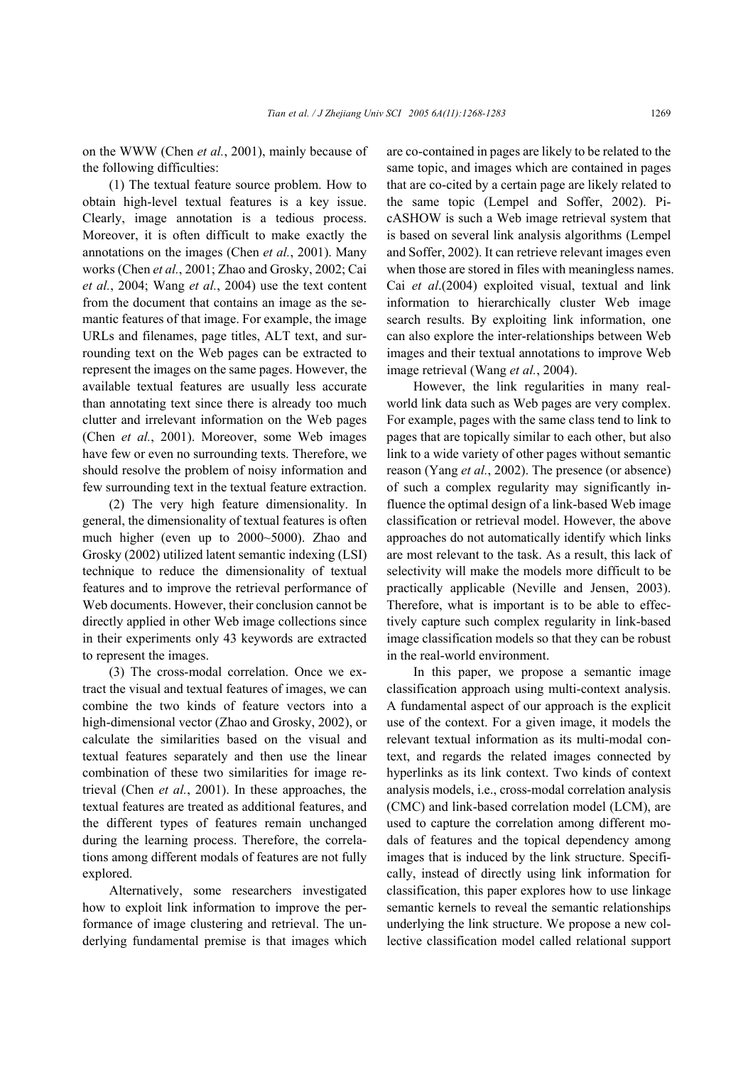on the WWW (Chen *et al.*, 2001), mainly because of the following difficulties:

(1) The textual feature source problem. How to obtain high-level textual features is a key issue. Clearly, image annotation is a tedious process. Moreover, it is often difficult to make exactly the annotations on the images (Chen *et al.*, 2001). Many works (Chen *et al.*, 2001; Zhao and Grosky, 2002; Cai *et al.*, 2004; Wang *et al.*, 2004) use the text content from the document that contains an image as the semantic features of that image. For example, the image URLs and filenames, page titles, ALT text, and surrounding text on the Web pages can be extracted to represent the images on the same pages. However, the available textual features are usually less accurate than annotating text since there is already too much clutter and irrelevant information on the Web pages (Chen *et al.*, 2001). Moreover, some Web images have few or even no surrounding texts. Therefore, we should resolve the problem of noisy information and few surrounding text in the textual feature extraction.

(2) The very high feature dimensionality. In general, the dimensionality of textual features is often much higher (even up to 2000~5000). Zhao and Grosky (2002) utilized latent semantic indexing (LSI) technique to reduce the dimensionality of textual features and to improve the retrieval performance of Web documents. However, their conclusion cannot be directly applied in other Web image collections since in their experiments only 43 keywords are extracted to represent the images.

(3) The cross-modal correlation. Once we extract the visual and textual features of images, we can combine the two kinds of feature vectors into a high-dimensional vector (Zhao and Grosky, 2002), or calculate the similarities based on the visual and textual features separately and then use the linear combination of these two similarities for image retrieval (Chen *et al.*, 2001). In these approaches, the textual features are treated as additional features, and the different types of features remain unchanged during the learning process. Therefore, the correlations among different modals of features are not fully explored.

Alternatively, some researchers investigated how to exploit link information to improve the performance of image clustering and retrieval. The underlying fundamental premise is that images which are co-contained in pages are likely to be related to the same topic, and images which are contained in pages that are co-cited by a certain page are likely related to the same topic (Lempel and Soffer, 2002). PicASHOW is such a Web image retrieval system that is based on several link analysis algorithms (Lempel and Soffer, 2002). It can retrieve relevant images even when those are stored in files with meaningless names. Cai *et al*.(2004) exploited visual, textual and link information to hierarchically cluster Web image search results. By exploiting link information, one can also explore the inter-relationships between Web images and their textual annotations to improve Web image retrieval (Wang *et al.*, 2004).

However, the link regularities in many realworld link data such as Web pages are very complex. For example, pages with the same class tend to link to pages that are topically similar to each other, but also link to a wide variety of other pages without semantic reason (Yang *et al.*, 2002). The presence (or absence) of such a complex regularity may significantly influence the optimal design of a link-based Web image classification or retrieval model. However, the above approaches do not automatically identify which links are most relevant to the task. As a result, this lack of selectivity will make the models more difficult to be practically applicable (Neville and Jensen, 2003). Therefore, what is important is to be able to effectively capture such complex regularity in link-based image classification models so that they can be robust in the real-world environment.

In this paper, we propose a semantic image classification approach using multi-context analysis. A fundamental aspect of our approach is the explicit use of the context. For a given image, it models the relevant textual information as its multi-modal context, and regards the related images connected by hyperlinks as its link context. Two kinds of context analysis models, i.e., cross-modal correlation analysis (CMC) and link-based correlation model (LCM), are used to capture the correlation among different modals of features and the topical dependency among images that is induced by the link structure. Specifically, instead of directly using link information for classification, this paper explores how to use linkage semantic kernels to reveal the semantic relationships underlying the link structure. We propose a new collective classification model called relational support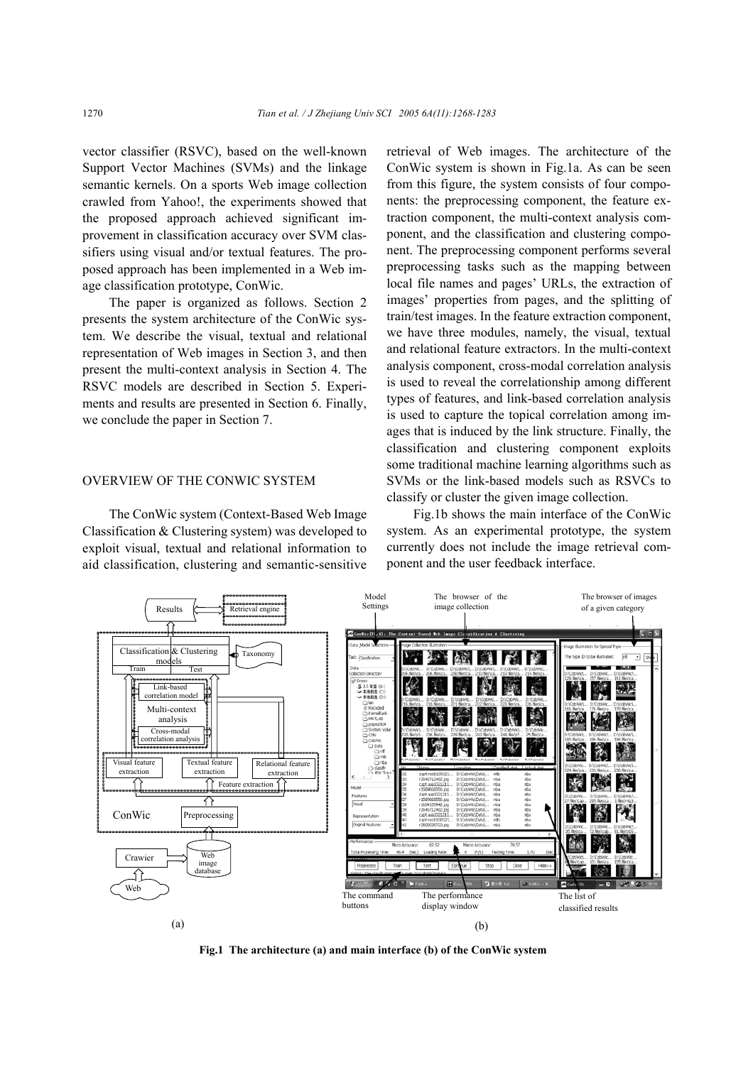vector classifier (RSVC), based on the well-known Support Vector Machines (SVMs) and the linkage semantic kernels. On a sports Web image collection crawled from Yahoo!, the experiments showed that the proposed approach achieved significant improvement in classification accuracy over SVM classifiers using visual and/or textual features. The proposed approach has been implemented in a Web image classification prototype, ConWic.

The paper is organized as follows. Section 2 presents the system architecture of the ConWic system. We describe the visual, textual and relational representation of Web images in Section 3, and then present the multi-context analysis in Section 4. The RSVC models are described in Section 5. Experiments and results are presented in Section 6. Finally, we conclude the paper in Section 7.

### OVERVIEW OF THE CONWIC SYSTEM

The ConWic system (Context-Based Web Image Classification & Clustering system) was developed to exploit visual, textual and relational information to aid classification, clustering and semantic-sensitive retrieval of Web images. The architecture of the ConWic system is shown in Fig.1a. As can be seen from this figure, the system consists of four components: the preprocessing component, the feature extraction component, the multi-context analysis component, and the classification and clustering component. The preprocessing component performs several preprocessing tasks such as the mapping between local file names and pages' URLs, the extraction of images' properties from pages, and the splitting of train/test images. In the feature extraction component, we have three modules, namely, the visual, textual and relational feature extractors. In the multi-context analysis component, cross-modal correlation analysis is used to reveal the correlationship among different types of features, and link-based correlation analysis is used to capture the topical correlation among images that is induced by the link structure. Finally, the classification and clustering component exploits some traditional machine learning algorithms such as SVMs or the link-based models such as RSVCs to classify or cluster the given image collection.

Fig.1b shows the main interface of the ConWic system. As an experimental prototype, the system currently does not include the image retrieval component and the user feedback interface.



**Fig.1 The architecture (a) and main interface (b) of the ConWic system**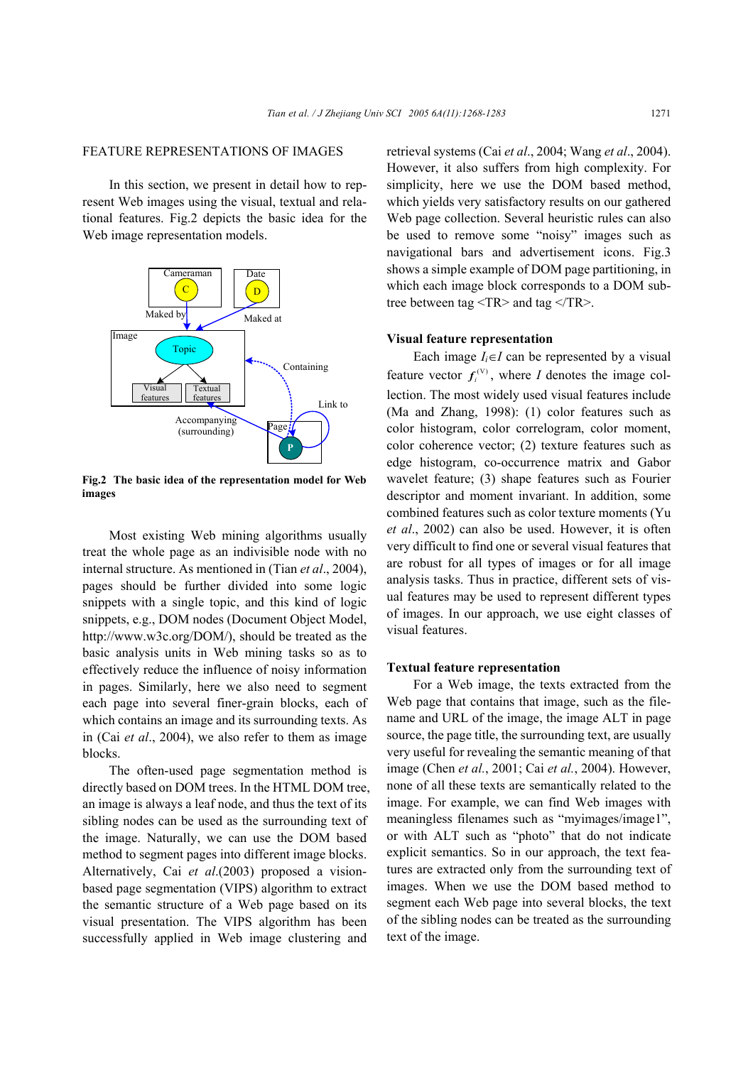### FEATURE REPRESENTATIONS OF IMAGES

In this section, we present in detail how to represent Web images using the visual, textual and relational features. Fig.2 depicts the basic idea for the Web image representation models.



**Fig.2 The basic idea of the representation model for Web images** 

Most existing Web mining algorithms usually treat the whole page as an indivisible node with no internal structure. As mentioned in (Tian *et al*., 2004), pages should be further divided into some logic snippets with a single topic, and this kind of logic snippets, e.g., DOM nodes (Document Object Model, http://www.w3c.org/DOM/), should be treated as the basic analysis units in Web mining tasks so as to effectively reduce the influence of noisy information in pages. Similarly, here we also need to segment each page into several finer-grain blocks, each of which contains an image and its surrounding texts. As in (Cai *et al*., 2004), we also refer to them as image blocks.

The often-used page segmentation method is directly based on DOM trees. In the HTML DOM tree, an image is always a leaf node, and thus the text of its sibling nodes can be used as the surrounding text of the image. Naturally, we can use the DOM based method to segment pages into different image blocks. Alternatively, Cai *et al*.(2003) proposed a visionbased page segmentation (VIPS) algorithm to extract the semantic structure of a Web page based on its visual presentation. The VIPS algorithm has been successfully applied in Web image clustering and

retrieval systems (Cai *et al*., 2004; Wang *et al*., 2004). However, it also suffers from high complexity. For simplicity, here we use the DOM based method, which yields very satisfactory results on our gathered Web page collection. Several heuristic rules can also be used to remove some "noisy" images such as navigational bars and advertisement icons. Fig.3 shows a simple example of DOM page partitioning, in which each image block corresponds to a DOM subtree between tag <TR> and tag </TR>.

### **Visual feature representation**

Each image  $I_i \in I$  can be represented by a visual feature vector  $f_i^{(V)}$ , where *I* denotes the image collection. The most widely used visual features include (Ma and Zhang, 1998): (1) color features such as color histogram, color correlogram, color moment, color coherence vector; (2) texture features such as edge histogram, co-occurrence matrix and Gabor wavelet feature; (3) shape features such as Fourier descriptor and moment invariant. In addition, some combined features such as color texture moments (Yu *et al*., 2002) can also be used. However, it is often very difficult to find one or several visual features that are robust for all types of images or for all image analysis tasks. Thus in practice, different sets of visual features may be used to represent different types of images. In our approach, we use eight classes of visual features.

#### **Textual feature representation**

For a Web image, the texts extracted from the Web page that contains that image, such as the filename and URL of the image, the image ALT in page source, the page title, the surrounding text, are usually very useful for revealing the semantic meaning of that image (Chen *et al.*, 2001; Cai *et al.*, 2004). However, none of all these texts are semantically related to the image. For example, we can find Web images with meaningless filenames such as "myimages/image1", or with ALT such as "photo" that do not indicate explicit semantics. So in our approach, the text features are extracted only from the surrounding text of images. When we use the DOM based method to segment each Web page into several blocks, the text of the sibling nodes can be treated as the surrounding text of the image.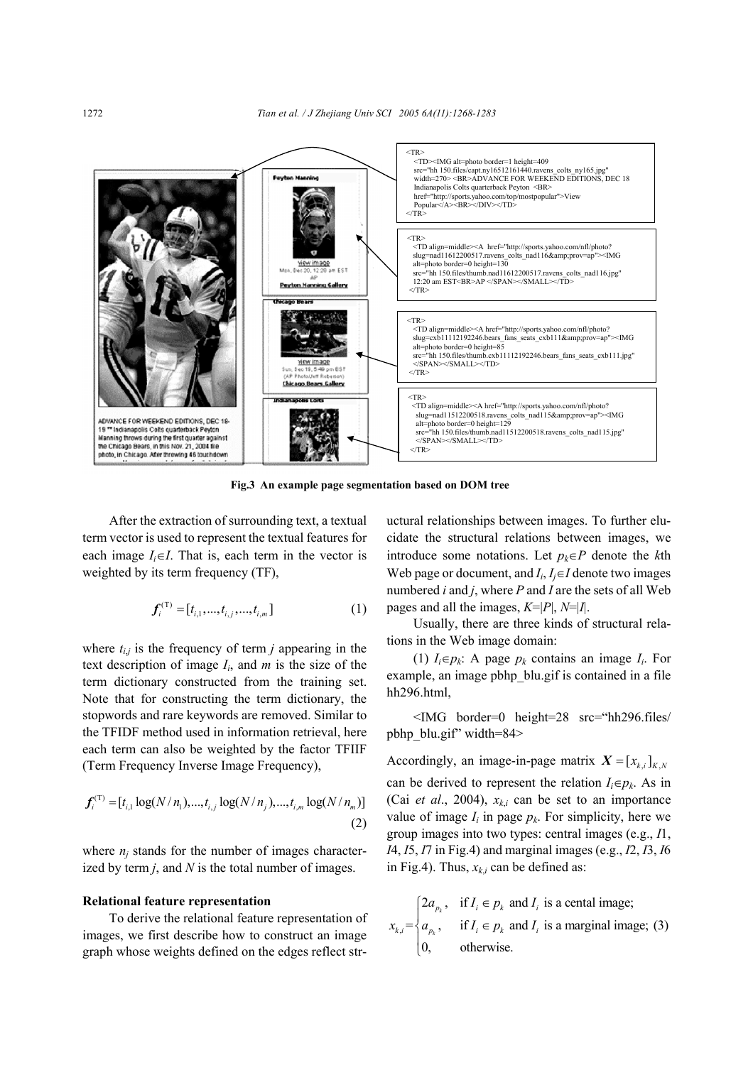

**Fig.3 An example page segmentation based on DOM tree**

After the extraction of surrounding text, a textual term vector is used to represent the textual features for each image  $I_i \in I$ . That is, each term in the vector is weighted by its term frequency (TF),

$$
f_i^{(T)} = [t_{i,1}, \dots, t_{i,j}, \dots, t_{i,m}]
$$
 (1)

where  $t_{ij}$  is the frequency of term *j* appearing in the text description of image  $I_i$ , and  $m$  is the size of the term dictionary constructed from the training set. Note that for constructing the term dictionary, the stopwords and rare keywords are removed. Similar to the TFIDF method used in information retrieval, here each term can also be weighted by the factor TFIIF (Term Frequency Inverse Image Frequency),

$$
f_i^{(T)} = [t_{i,1} \log(N/n_1), ..., t_{i,j} \log(N/n_j), ..., t_{i,m} \log(N/n_m)]
$$
\n(2)

where  $n_i$  stands for the number of images characterized by term *j*, and *N* is the total number of images.

#### **Relational feature representation**

To derive the relational feature representation of images, we first describe how to construct an image graph whose weights defined on the edges reflect structural relationships between images. To further elucidate the structural relations between images, we introduce some notations. Let  $p_k ∈ P$  denote the *k*th Web page or document, and  $I_i$ ,  $I_i \in I$  denote two images numbered *i* and *j*, where *P* and *I* are the sets of all Web pages and all the images, *K*=|*P*|, *N*=|*I*|.

Usually, there are three kinds of structural relations in the Web image domain:

(1)  $I_i \in p_k$ : A page  $p_k$  contains an image  $I_i$ . For example, an image pbhp\_blu.gif is contained in a file hh296.html,

<IMG border=0 height=28 src="hh296.files/ pbhp\_blu.gif" width=84>

Accordingly, an image-in-page matrix  $X = [x_{k,i}]_{K,N}$ can be derived to represent the relation  $I_i \in p_k$ . As in (Cai *et al.*, 2004),  $x_{ki}$  can be set to an importance value of image  $I_i$  in page  $p_k$ . For simplicity, here we group images into two types: central images (e.g., *I*1, *I*4, *I*5, *I*7 in Fig.4) and marginal images (e.g., *I*2, *I*3, *I*6 in Fig.4). Thus,  $x_{ki}$  can be defined as:

,  $2a_n$ , if  $I_i \in p_k$  and  $I_i$  is a cental image;  $=\langle a_n, i \in I \in P_k \text{ and } I_i \text{ is a marginal image};$  (3) 0, otherwise. *k k*  $p_k$ ,  $\mathbf{H} \mathbf{I}_i \subset P_k$  and  $\mathbf{I}_i$  $\mu_{k,i}$   $\mu_k$ ,  $\mu_k$   $\mu_k$   $\mu_k$  and  $\mu_i$  $a_n$ , if  $I_i \in p_k$  and *I*  $x_{k_i} = \langle a_{n_i}, \quad \text{if } I_i \in p_k \text{ and } I$  $[2a_{n_i}, \text{ if } I_i \in$  $\begin{cases} a_{p_i}, & \text{if } I_i \in \end{cases}$  $\overline{1}$  $\overline{\mathfrak{l}}$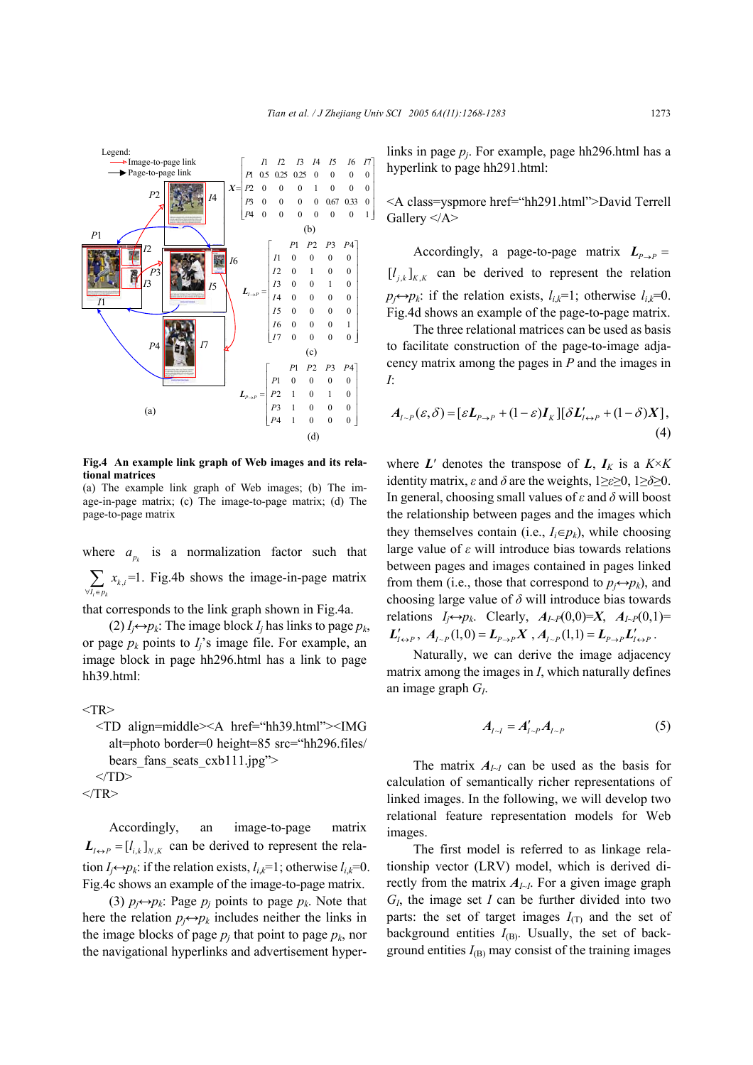

**Fig.4 An example link graph of Web images and its relational matrices** 

(a) The example link graph of Web images; (b) The image-in-page matrix; (c) The image-to-page matrix; (d) The page-to-page matrix

where  $a_{p_i}$  is a normalization factor such that  $_{i}$ =1.  $i = p_k$  $\sum_{I_i \in p_k} \lambda_{k,i}$ *x*  $\sum_{\forall i, j \in p_k} x_{k,i}$ =1. Fig.4b shows the image-in-page matrix

that corresponds to the link graph shown in Fig.4a.

(2)  $I_i \leftrightarrow p_k$ : The image block  $I_i$  has links to page  $p_k$ , or page  $p_k$  points to  $I_i$ 's image file. For example, an image block in page hh296.html has a link to page hh39.html:

 $<$ TR $>$ 

<TD align=middle><A href="hh39.html"><IMG alt=photo border=0 height=85 src="hh296.files/ bears fans seats cxb111.jpg">

```
</TD>
</TR>
```
Accordingly, an image-to-page matrix  $L_{I \leftrightarrow P} = [l_{i,k}]_{N,K}$  can be derived to represent the relation  $I_i \leftrightarrow p_k$ : if the relation exists,  $l_i_k = 1$ ; otherwise  $l_i_k = 0$ . Fig.4c shows an example of the image-to-page matrix.

(3)  $p_i \leftrightarrow p_k$ : Page  $p_i$  points to page  $p_k$ . Note that here the relation  $p_i \leftrightarrow p_k$  includes neither the links in the image blocks of page  $p_i$  that point to page  $p_k$ , nor the navigational hyperlinks and advertisement hyperlinks in page *pj*. For example, page hh296.html has a hyperlink to page hh291.html:

<A class=yspmore href="hh291.html">David Terrell Gallery  $\langle A \rangle$ 

Accordingly, a page-to-page matrix  $L_{P\rightarrow P}$  =  $[l_{ik}]_{K,K}$  can be derived to represent the relation  $p_i \leftrightarrow p_k$ : if the relation exists,  $l_{i,k}$ =1; otherwise  $l_{i,k}$ =0. Fig.4d shows an example of the page-to-page matrix.

The three relational matrices can be used as basis to facilitate construction of the page-to-image adjacency matrix among the pages in *P* and the images in *I*:

$$
A_{I\sim P}(\varepsilon,\delta) = [\varepsilon L_{P\to P} + (1-\varepsilon)I_K][\delta L'_{I\leftrightarrow P} + (1-\delta)X],
$$
\n(4)

where  $L'$  denotes the transpose of  $L$ ,  $I_K$  is a  $K \times K$ identity matrix,  $\varepsilon$  and  $\delta$  are the weights,  $1 \geq \varepsilon \geq 0$ ,  $1 \geq \delta \geq 0$ . In general, choosing small values of *ε* and *δ* will boost the relationship between pages and the images which they themselves contain (i.e.,  $I_i \in p_k$ ), while choosing large value of *ε* will introduce bias towards relations between pages and images contained in pages linked from them (i.e., those that correspond to  $p_i \leftrightarrow p_k$ ), and choosing large value of *δ* will introduce bias towards relations  $I_i \leftrightarrow p_k$ . Clearly,  $A_{I \sim P}(0,0)=X$ ,  $A_{I \sim P}(0,1)=$  $L'_{I \leftrightarrow P}$ ,  $A_{I \sim P}(1,0) = L_{P \rightarrow P} X$ ,  $A_{I \sim P}(1,1) = L_{P \rightarrow P} L'_{I \leftrightarrow P}$ .

Naturally, we can derive the image adjacency matrix among the images in *I*, which naturally defines an image graph *GI*.

$$
A_{I \sim I} = A_{I \sim P}' A_{I \sim P} \tag{5}
$$

The matrix  $A_{I}$  can be used as the basis for calculation of semantically richer representations of linked images. In the following, we will develop two relational feature representation models for Web images.

The first model is referred to as linkage relationship vector (LRV) model, which is derived directly from the matrix  $A_{I \sim I}$ . For a given image graph  $G_I$ , the image set *I* can be further divided into two parts: the set of target images  $I_{(T)}$  and the set of background entities  $I_{(B)}$ . Usually, the set of background entities  $I_{(B)}$  may consist of the training images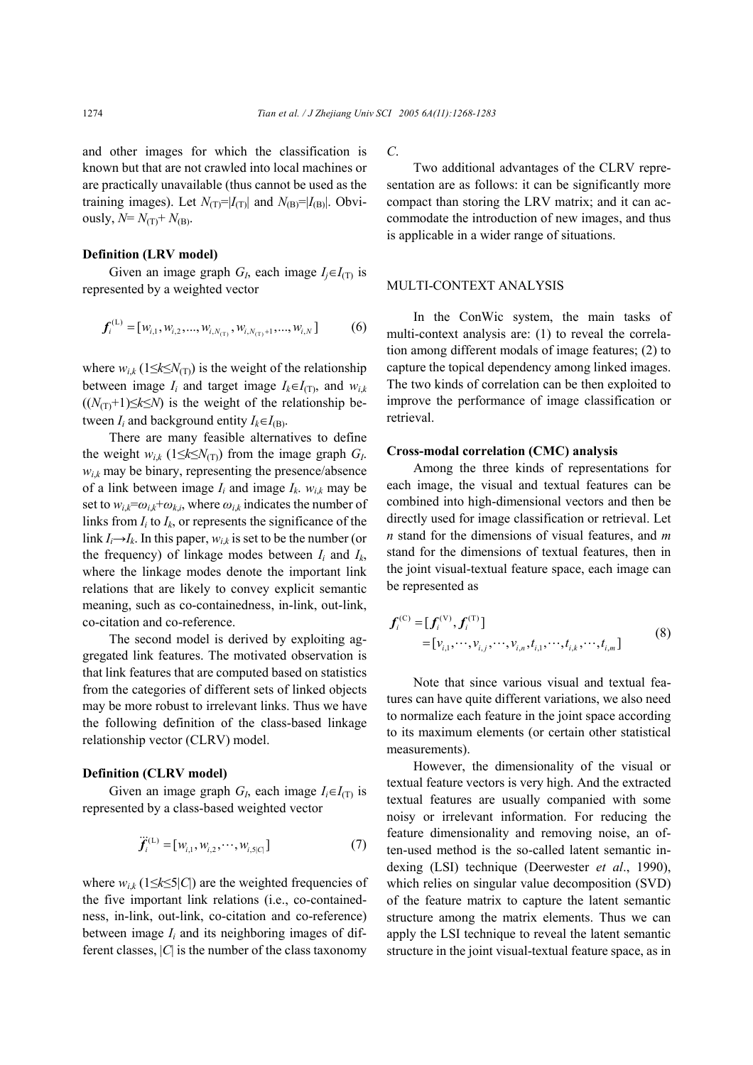and other images for which the classification is known but that are not crawled into local machines or are practically unavailable (thus cannot be used as the training images). Let  $N_{\text{(T)}}=|I_{\text{(T)}}|$  and  $N_{\text{(B)}}=|I_{\text{(B)}}|$ . Obviously,  $N = N_{(T)} + N_{(B)}$ .

### **Definition (LRV model)**

Given an image graph  $G_I$ , each image  $I_I \in I_{(T)}$  is represented by a weighted vector

$$
\boldsymbol{f}_{i}^{(\text{L})} = [\boldsymbol{w}_{i,1}, \boldsymbol{w}_{i,2}, \dots, \boldsymbol{w}_{i,N_{(\text{T})}}, \boldsymbol{w}_{i,N_{(\text{T})}+1}, \dots, \boldsymbol{w}_{i,N}] \tag{6}
$$

where  $w_{i,k}$  (1≤*k*≤ $N_{(T)}$ ) is the weight of the relationship between image  $I_i$  and target image  $I_k \in I_{(T)}$ , and  $w_{ik}$  $((N_{(T)}+1)\leq k\leq N)$  is the weight of the relationship between  $I_i$  and background entity  $I_k \in I_{(B)}$ .

There are many feasible alternatives to define the weight  $w_{i,k}$  (1≤ $k \leq N_{(T)}$ ) from the image graph  $G_I$ .  $w_{ik}$  may be binary, representing the presence/absence of a link between image  $I_i$  and image  $I_k$ .  $w_{i,k}$  may be set to  $w_{ik} = \omega_{ik} + \omega_{ki}$ , where  $\omega_{ik}$  indicates the number of links from  $I_i$  to  $I_k$ , or represents the significance of the link  $I_i \rightarrow I_k$ . In this paper,  $w_{ik}$  is set to be the number (or the frequency) of linkage modes between  $I_i$  and  $I_k$ , where the linkage modes denote the important link relations that are likely to convey explicit semantic meaning, such as co-containedness, in-link, out-link, co-citation and co-reference.

The second model is derived by exploiting aggregated link features. The motivated observation is that link features that are computed based on statistics from the categories of different sets of linked objects may be more robust to irrelevant links. Thus we have the following definition of the class-based linkage relationship vector (CLRV) model.

#### **Definition (CLRV model)**

Given an image graph  $G_I$ , each image  $I_i \in I_{(T)}$  is represented by a class-based weighted vector

$$
\ddot{\mathbf{J}}_i^{(L)} = [w_{i,1}, w_{i,2}, \cdots, w_{i,5|C|}] \tag{7}
$$

where  $w_{ik}$  (1≤*k*≤5|*C*|) are the weighted frequencies of the five important link relations (i.e., co-containedness, in-link, out-link, co-citation and co-reference) between image  $I_i$  and its neighboring images of different classes, |*C*| is the number of the class taxonomy

*C*.

Two additional advantages of the CLRV representation are as follows: it can be significantly more compact than storing the LRV matrix; and it can accommodate the introduction of new images, and thus is applicable in a wider range of situations.

### MULTI-CONTEXT ANALYSIS

In the ConWic system, the main tasks of multi-context analysis are: (1) to reveal the correlation among different modals of image features; (2) to capture the topical dependency among linked images. The two kinds of correlation can be then exploited to improve the performance of image classification or retrieval.

### **Cross-modal correlation (CMC) analysis**

Among the three kinds of representations for each image, the visual and textual features can be combined into high-dimensional vectors and then be directly used for image classification or retrieval. Let *n* stand for the dimensions of visual features, and *m* stand for the dimensions of textual features, then in the joint visual-textual feature space, each image can be represented as

$$
f_i^{(C)} = [f_i^{(V)}, f_i^{(T)}]
$$
  
=  $[v_{i,1}, \dots, v_{i,j}, \dots, v_{i,n}, t_{i,1}, \dots, t_{i,k}, \dots, t_{i,m}]$  (8)

Note that since various visual and textual features can have quite different variations, we also need to normalize each feature in the joint space according to its maximum elements (or certain other statistical measurements).

However, the dimensionality of the visual or textual feature vectors is very high. And the extracted textual features are usually companied with some noisy or irrelevant information. For reducing the feature dimensionality and removing noise, an often-used method is the so-called latent semantic indexing (LSI) technique (Deerwester *et al*., 1990), which relies on singular value decomposition (SVD) of the feature matrix to capture the latent semantic structure among the matrix elements. Thus we can apply the LSI technique to reveal the latent semantic structure in the joint visual-textual feature space, as in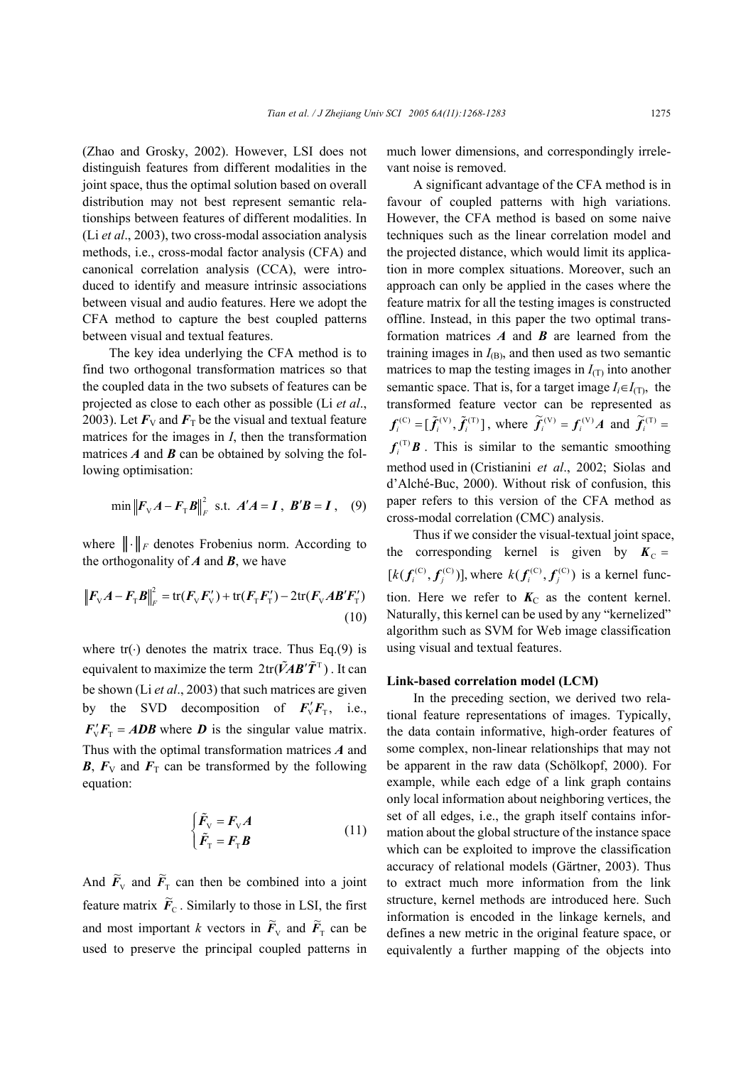(Zhao and Grosky, 2002). However, LSI does not distinguish features from different modalities in the joint space, thus the optimal solution based on overall distribution may not best represent semantic relationships between features of different modalities. In (Li *et al*., 2003), two cross-modal association analysis methods, i.e., cross-modal factor analysis (CFA) and canonical correlation analysis (CCA), were introduced to identify and measure intrinsic associations between visual and audio features. Here we adopt the CFA method to capture the best coupled patterns between visual and textual features.

The key idea underlying the CFA method is to find two orthogonal transformation matrices so that the coupled data in the two subsets of features can be projected as close to each other as possible (Li *et al*., 2003). Let  $F_V$  and  $F_T$  be the visual and textual feature matrices for the images in *I*, then the transformation matrices *A* and *B* can be obtained by solving the following optimisation:

$$
\min \|F_{V}A - F_{T}B\|_{F}^{2} \text{ s.t. } A'A = I, B'B = I, (9)
$$

where  $\|\cdot\|_F$  denotes Frobenius norm. According to the orthogonality of  $A$  and  $B$ , we have

$$
\left\|F_{\rm V}A - F_{\rm T}B\right\|_{F}^{2} = \text{tr}(F_{\rm V}F_{\rm V}') + \text{tr}(F_{\rm T}F_{\rm T}') - 2\text{tr}(F_{\rm V}AB'F_{\rm T}')\tag{10}
$$

where  $tr(\cdot)$  denotes the matrix trace. Thus Eq.(9) is equivalent to maximize the term  $2 \text{tr}(\tilde{V} \mathbf{A} \mathbf{B}' \tilde{\mathbf{T}}^T)$ . It can be shown (Li *et al*., 2003) that such matrices are given by the SVD decomposition of  $F_v'F_v$ , i.e.,  $F_V'F_T = ADB$  where D is the singular value matrix. Thus with the optimal transformation matrices *A* and *B*,  $F_V$  and  $F_T$  can be transformed by the following equation:

$$
\begin{cases}\n\tilde{F}_{\text{V}} = F_{\text{V}}A \\
\tilde{F}_{\text{T}} = F_{\text{T}}B\n\end{cases}
$$
\n(11)

And  $\tilde{F}_{v}$  and  $\tilde{F}_{T}$  can then be combined into a joint feature matrix  $\tilde{F}_c$ . Similarly to those in LSI, the first and most important *k* vectors in  $\tilde{F}_v$  and  $\tilde{F}_r$  can be used to preserve the principal coupled patterns in

much lower dimensions, and correspondingly irrelevant noise is removed.

A significant advantage of the CFA method is in favour of coupled patterns with high variations. However, the CFA method is based on some naive techniques such as the linear correlation model and the projected distance, which would limit its application in more complex situations. Moreover, such an approach can only be applied in the cases where the feature matrix for all the testing images is constructed offline. Instead, in this paper the two optimal transformation matrices *A* and *B* are learned from the training images in  $I_{(B)}$ , and then used as two semantic matrices to map the testing images in  $I_{(T)}$  into another semantic space. That is, for a target image  $I_i \in I_{(T)}$ , the transformed feature vector can be represented as  $f_i^{(C)} = [\tilde{f}_i^{(V)}, \tilde{f}_i^{(T)}]$ , where  $\tilde{f}_i^{(V)} = f_i^{(V)} A$  and  $\tilde{f}_i^{(T)} =$  $f_i^{(T)}$ **B**. This is similar to the semantic smoothing method used in (Cristianini *et al*., 2002; Siolas and d'Alché-Buc, 2000). Without risk of confusion, this paper refers to this version of the CFA method as cross-modal correlation (CMC) analysis.

Thus if we consider the visual-textual joint space, the corresponding kernel is given by  $K<sub>C</sub>$  =  $[k(f_i^{(C)}, f_i^{(C)})]$ , where  $k(f_i^{(C)}, f_i^{(C)})$  is a kernel function. Here we refer to  $K_C$  as the content kernel. Naturally, this kernel can be used by any "kernelized" algorithm such as SVM for Web image classification using visual and textual features.

#### **Link-based correlation model (LCM)**

In the preceding section, we derived two relational feature representations of images. Typically, the data contain informative, high-order features of some complex, non-linear relationships that may not be apparent in the raw data (Schölkopf, 2000). For example, while each edge of a link graph contains only local information about neighboring vertices, the set of all edges, i.e., the graph itself contains information about the global structure of the instance space which can be exploited to improve the classification accuracy of relational models (Gärtner, 2003). Thus to extract much more information from the link structure, kernel methods are introduced here. Such information is encoded in the linkage kernels, and defines a new metric in the original feature space, or equivalently a further mapping of the objects into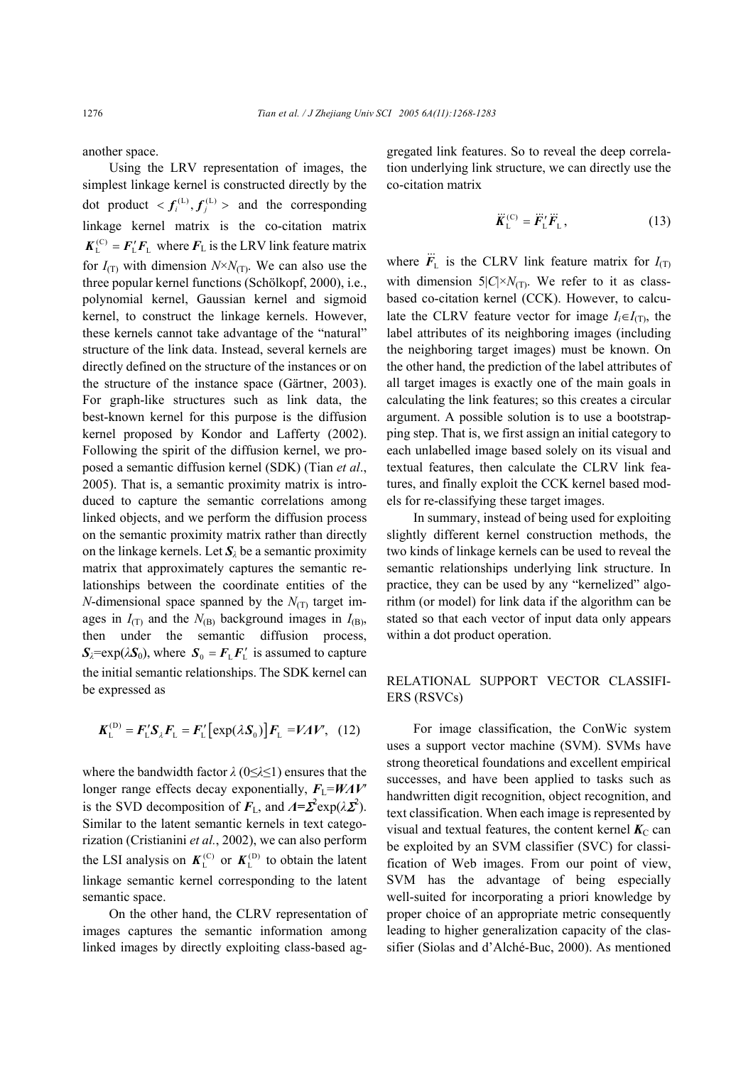another space.

Using the LRV representation of images, the simplest linkage kernel is constructed directly by the dot product  $\langle f_i^{(L)}, f_j^{(L)} \rangle$  and the corresponding linkage kernel matrix is the co-citation matrix  $K_{\text{L}}^{(\text{C})} = F_{\text{L}}'F_{\text{L}}$  where  $F_{\text{L}}$  is the LRV link feature matrix for  $I_{(T)}$  with dimension  $N \times N_{(T)}$ . We can also use the three popular kernel functions (Schölkopf, 2000), i.e., polynomial kernel, Gaussian kernel and sigmoid kernel, to construct the linkage kernels. However, these kernels cannot take advantage of the "natural" structure of the link data. Instead, several kernels are directly defined on the structure of the instances or on the structure of the instance space (Gärtner, 2003). For graph-like structures such as link data, the best-known kernel for this purpose is the diffusion kernel proposed by Kondor and Lafferty (2002). Following the spirit of the diffusion kernel, we proposed a semantic diffusion kernel (SDK) (Tian *et al*., 2005). That is, a semantic proximity matrix is introduced to capture the semantic correlations among linked objects, and we perform the diffusion process on the semantic proximity matrix rather than directly on the linkage kernels. Let  $S_\lambda$  be a semantic proximity matrix that approximately captures the semantic relationships between the coordinate entities of the *N*-dimensional space spanned by the  $N_{(T)}$  target images in  $I_{(T)}$  and the  $N_{(B)}$  background images in  $I_{(B)}$ , then under the semantic diffusion process,  $S_{\lambda}$ =exp( $\lambda$ *S*<sub>0</sub>), where  $S_0 = F_L F_L'$  is assumed to capture the initial semantic relationships. The SDK kernel can be expressed as

$$
\mathbf{K}_{\mathsf{L}}^{(\mathsf{D})} = \mathbf{F}_{\mathsf{L}}' \mathbf{S}_{\lambda} \mathbf{F}_{\mathsf{L}} = \mathbf{F}_{\mathsf{L}}' [\exp(\lambda \mathbf{S}_{0})] \mathbf{F}_{\mathsf{L}} = V \Lambda V', \quad (12)
$$

where the bandwidth factor *λ* (0≤*λ*≤1) ensures that the longer range effects decay exponentially,  $F_L = WAV$ is the SVD decomposition of  $\mathbf{F}_{\text{L}}$ , and  $A = \Sigma^2 \exp(\lambda \Sigma^2)$ . Similar to the latent semantic kernels in text categorization (Cristianini *et al.*, 2002), we can also perform the LSI analysis on  $K_{\text{I}}^{(C)}$  or  $K_{\text{I}}^{(D)}$  to obtain the latent linkage semantic kernel corresponding to the latent semantic space.

On the other hand, the CLRV representation of images captures the semantic information among linked images by directly exploiting class-based aggregated link features. So to reveal the deep correlation underlying link structure, we can directly use the co-citation matrix

$$
\ddot{\mathbf{K}}_{\mathcal{L}}^{(\mathcal{C})} = \ddot{\mathbf{F}}_{\mathcal{L}}' \ddot{\mathbf{F}}_{\mathcal{L}} \,, \tag{13}
$$

where  $\ddot{F}_{\rm L}$  is the CLRV link feature matrix for  $I_{\rm (T)}$ with dimension  $5|C| \times N(T)$ . We refer to it as classbased co-citation kernel (CCK). However, to calculate the CLRV feature vector for image  $I_i \in I_{(T)}$ , the label attributes of its neighboring images (including the neighboring target images) must be known. On the other hand, the prediction of the label attributes of all target images is exactly one of the main goals in calculating the link features; so this creates a circular argument. A possible solution is to use a bootstrapping step. That is, we first assign an initial category to each unlabelled image based solely on its visual and textual features, then calculate the CLRV link features, and finally exploit the CCK kernel based models for re-classifying these target images.

In summary, instead of being used for exploiting slightly different kernel construction methods, the two kinds of linkage kernels can be used to reveal the semantic relationships underlying link structure. In practice, they can be used by any "kernelized" algorithm (or model) for link data if the algorithm can be stated so that each vector of input data only appears within a dot product operation.

### RELATIONAL SUPPORT VECTOR CLASSIFI-ERS (RSVCs)

For image classification, the ConWic system uses a support vector machine (SVM). SVMs have strong theoretical foundations and excellent empirical successes, and have been applied to tasks such as handwritten digit recognition, object recognition, and text classification. When each image is represented by visual and textual features, the content kernel  $K_C$  can be exploited by an SVM classifier (SVC) for classification of Web images. From our point of view, SVM has the advantage of being especially well-suited for incorporating a priori knowledge by proper choice of an appropriate metric consequently leading to higher generalization capacity of the classifier (Siolas and d'Alché-Buc, 2000). As mentioned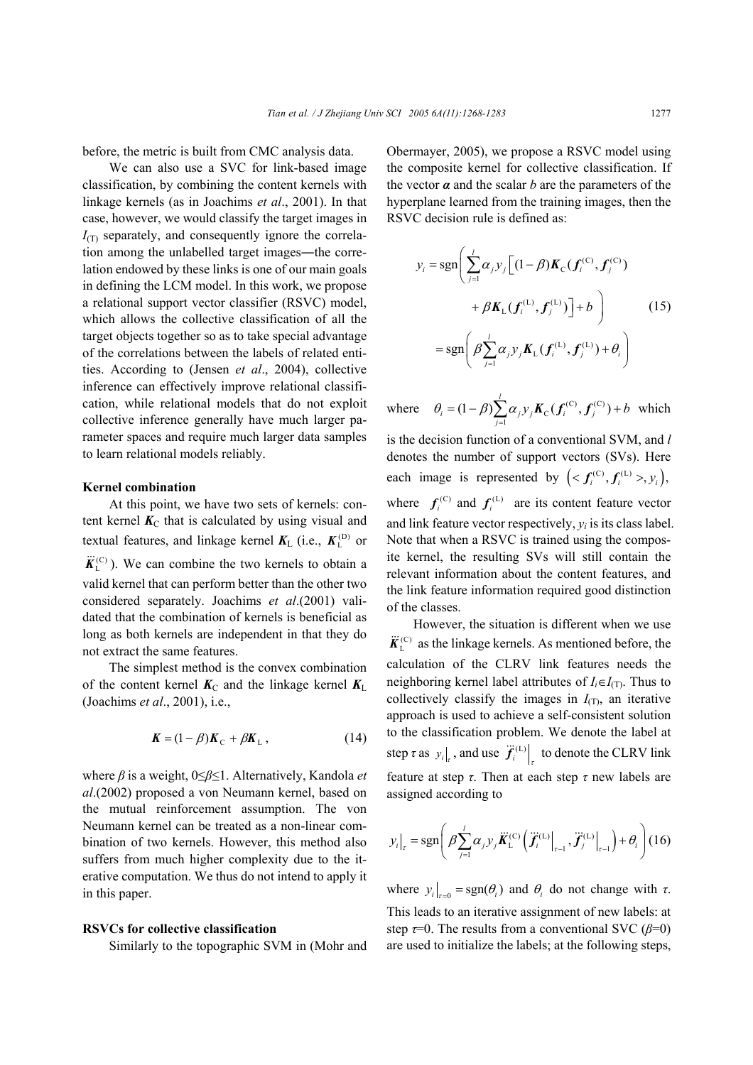before, the metric is built from CMC analysis data.

We can also use a SVC for link-based image classification, by combining the content kernels with linkage kernels (as in Joachims *et al*., 2001). In that case, however, we would classify the target images in  $I_{(T)}$  separately, and consequently ignore the correlation among the unlabelled target images―the correlation endowed by these links is one of our main goals in defining the LCM model. In this work, we propose a relational support vector classifier (RSVC) model, which allows the collective classification of all the target objects together so as to take special advantage of the correlations between the labels of related entities. According to (Jensen *et al*., 2004), collective inference can effectively improve relational classification, while relational models that do not exploit collective inference generally have much larger parameter spaces and require much larger data samples to learn relational models reliably.

#### **Kernel combination**

At this point, we have two sets of kernels: content kernel  $K<sub>C</sub>$  that is calculated by using visual and textual features, and linkage kernel  $K_{\text{L}}$  (i.e.,  $K_{\text{L}}^{(D)}$  or  $\ddot{K}_{\perp}^{(C)}$ ). We can combine the two kernels to obtain a valid kernel that can perform better than the other two considered separately. Joachims *et al*.(2001) validated that the combination of kernels is beneficial as long as both kernels are independent in that they do not extract the same features.

The simplest method is the convex combination of the content kernel  $K_C$  and the linkage kernel  $K_L$ (Joachims *et al*., 2001), i.e.,

$$
\mathbf{K} = (1 - \beta)\mathbf{K}_{\rm C} + \beta \mathbf{K}_{\rm L} \,, \tag{14}
$$

where *β* is a weight, 0≤*β*≤1. Alternatively, Kandola *et al*.(2002) proposed a von Neumann kernel, based on the mutual reinforcement assumption. The von Neumann kernel can be treated as a non-linear combination of two kernels. However, this method also suffers from much higher complexity due to the iterative computation. We thus do not intend to apply it in this paper.

#### **RSVCs for collective classification**

Similarly to the topographic SVM in (Mohr and

Obermayer, 2005), we propose a RSVC model using the composite kernel for collective classification. If the vector *α* and the scalar *b* are the parameters of the hyperplane learned from the training images, then the RSVC decision rule is defined as:

$$
y_{i} = \text{sgn}\left(\sum_{j=1}^{l} \alpha_{j} y_{j} \left[ (1-\beta) \boldsymbol{K}_{\text{C}}(\boldsymbol{f}_{i}^{(\text{C})}, \boldsymbol{f}_{j}^{(\text{C})}) + \beta \boldsymbol{K}_{\text{L}}(\boldsymbol{f}_{i}^{(\text{L})}, \boldsymbol{f}_{j}^{(\text{L})}) \right] + b \right)
$$
\n
$$
= \text{sgn}\left(\beta \sum_{j=1}^{l} \alpha_{j} y_{j} \boldsymbol{K}_{\text{L}}(\boldsymbol{f}_{i}^{(\text{L})}, \boldsymbol{f}_{j}^{(\text{L})}) + \theta_{i} \right)
$$
\n(15)

where  $\theta_i = (1 - \beta) \sum_{j=1} \alpha_j y_j \mathbf{K}_{\text{C}}(\mathbf{f}_i^{(\text{C})}, \mathbf{f}_j^{(\text{C})})$  $(1-\beta)\sum_{i}^{l} \alpha_{i} y_{i} K_{c}(\bm{f}_{i}^{(\text{C})}, \bm{f}_{i}^{(\text{C})})$  $\sum_{j=1}^{i} \alpha_j y_j \mathbf{A}_{\text{C}} \mathbf{U}_i$ ,  $\mathbf{J}_j$  $\theta_i = (1 - \beta) \sum \alpha_i y_i K_c(f_i^{(C)}, f_i^{(C)}) + b$  $= (1 - \beta) \sum_{j=1}^n \alpha_j y_j K_C(f_i^{(C)}, f_j^{(C)}) + b$  which is the decision function of a conventional SVM, and *l* denotes the number of support vectors (SVs). Here each image is represented by  $(*f<sub>i</sub>*<sup>(C)</sup>, *f<sub>i</sub>*<sup>(L)</sup>>, *y<sub>i</sub>*),$ where  $f_i^{(C)}$  and  $f_i^{(L)}$  are its content feature vector and link feature vector respectively,  $y_i$  is its class label. Note that when a RSVC is trained using the composite kernel, the resulting SVs will still contain the relevant information about the content features, and the link feature information required good distinction of the classes.

However, the situation is different when we use  $\ddot{K}_{I}^{(C)}$  as the linkage kernels. As mentioned before, the calculation of the CLRV link features needs the neighboring kernel label attributes of  $I_i \in I_{(T)}$ . Thus to collectively classify the images in  $I_{(T)}$ , an iterative approach is used to achieve a self-consistent solution to the classification problem. We denote the label at step *τ* as  $y_i\vert_{r}$ , and use  $\left. \ddot{f}_i^{(L)} \right|_{r}$  to denote the CLRV link feature at step *τ*. Then at each step *τ* new labels are assigned according to

$$
y_i\big|_{\tau} = sgn\bigg(\beta \sum_{j=1}^{l} \alpha_j y_j \ddot{K}_{L}^{(C)} \bigg(\ddot{f}_i^{(L)}\bigg|_{\tau-1}, \ddot{f}_j^{(L)}\bigg|_{\tau-1}\bigg) + \theta_i\bigg)(16)
$$

where  $y_i|_{z=0} = \text{sgn}(\theta_i)$  and  $\theta_i$  do not change with  $\tau$ . This leads to an iterative assignment of new labels: at step  $\tau=0$ . The results from a conventional SVC ( $\beta=0$ ) are used to initialize the labels; at the following steps,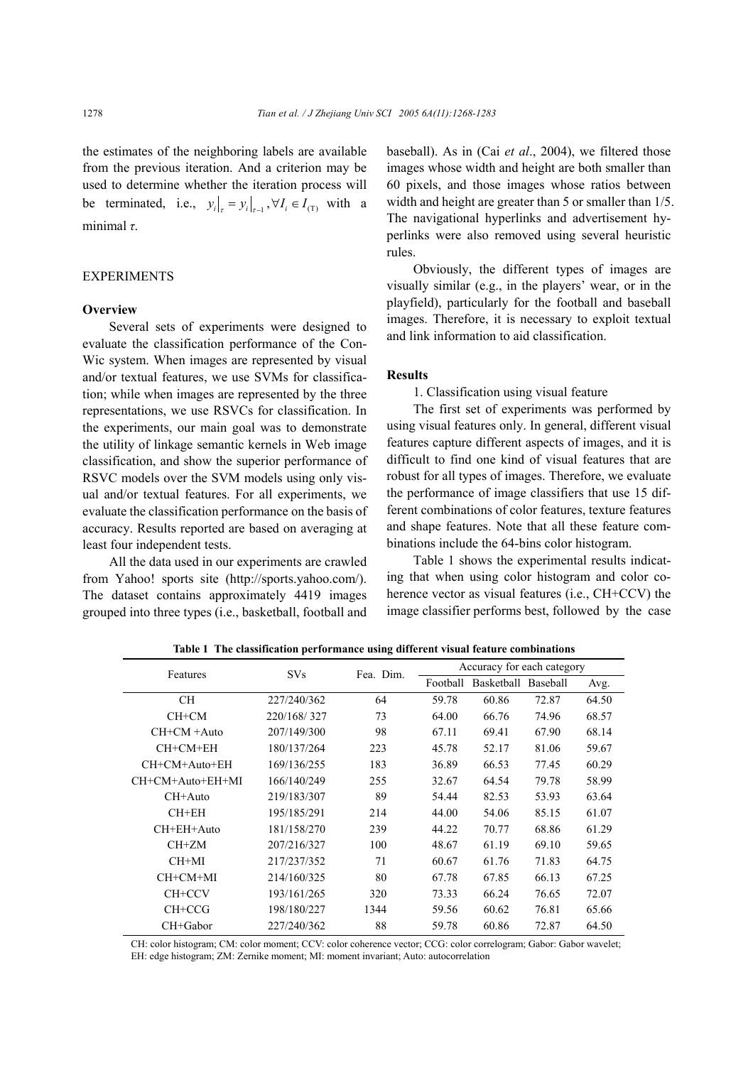the estimates of the neighboring labels are available from the previous iteration. And a criterion may be used to determine whether the iteration process will be terminated, i.e.,  $y_i \big|_{\tau} = y_i \big|_{\tau=1}, \forall I_i \in I_{(T)}$  with a minimal *τ*.

#### EXPERIMENTS

#### **Overview**

Several sets of experiments were designed to evaluate the classification performance of the Con-Wic system. When images are represented by visual and/or textual features, we use SVMs for classification; while when images are represented by the three representations, we use RSVCs for classification. In the experiments, our main goal was to demonstrate the utility of linkage semantic kernels in Web image classification, and show the superior performance of RSVC models over the SVM models using only visual and/or textual features. For all experiments, we evaluate the classification performance on the basis of accuracy. Results reported are based on averaging at least four independent tests.

All the data used in our experiments are crawled from Yahoo! sports site (http://sports.yahoo.com/). The dataset contains approximately 4419 images grouped into three types (i.e., basketball, football and

baseball). As in (Cai *et al*., 2004), we filtered those images whose width and height are both smaller than 60 pixels, and those images whose ratios between width and height are greater than 5 or smaller than  $1/5$ . The navigational hyperlinks and advertisement hyperlinks were also removed using several heuristic rules.

Obviously, the different types of images are visually similar (e.g., in the players' wear, or in the playfield), particularly for the football and baseball images. Therefore, it is necessary to exploit textual and link information to aid classification.

### **Results**

1. Classification using visual feature

The first set of experiments was performed by using visual features only. In general, different visual features capture different aspects of images, and it is difficult to find one kind of visual features that are robust for all types of images. Therefore, we evaluate the performance of image classifiers that use 15 different combinations of color features, texture features and shape features. Note that all these feature combinations include the 64-bins color histogram.

Table 1 shows the experimental results indicating that when using color histogram and color coherence vector as visual features (i.e., CH+CCV) the image classifier performs best, followed by the case

| Features         | <b>SVs</b>  | Fea. Dim. | Accuracy for each category |                     |       |       |
|------------------|-------------|-----------|----------------------------|---------------------|-------|-------|
|                  |             |           | Football                   | Basketball Baseball |       | Avg.  |
| <b>CH</b>        | 227/240/362 | 64        | 59.78                      | 60.86               | 72.87 | 64.50 |
| CH+CM            | 220/168/327 | 73        | 64.00                      | 66.76               | 74.96 | 68.57 |
| $CH+CM + Auto$   | 207/149/300 | 98        | 67.11                      | 69.41               | 67.90 | 68.14 |
| CH+CM+EH         | 180/137/264 | 223       | 45.78                      | 52.17               | 81.06 | 59.67 |
| $CH+CM+Auto+EH$  | 169/136/255 | 183       | 36.89                      | 66.53               | 77.45 | 60.29 |
| CH+CM+Auto+EH+MI | 166/140/249 | 255       | 32.67                      | 64.54               | 79.78 | 58.99 |
| $CH+Aut0$        | 219/183/307 | 89        | 54.44                      | 82.53               | 53.93 | 63.64 |
| CH+EH            | 195/185/291 | 214       | 44.00                      | 54.06               | 85.15 | 61.07 |
| CH+EH+Auto       | 181/158/270 | 239       | 44.22                      | 70.77               | 68.86 | 61.29 |
| $CH+ZM$          | 207/216/327 | 100       | 48.67                      | 61.19               | 69.10 | 59.65 |
| CH+MI            | 217/237/352 | 71        | 60.67                      | 61.76               | 71.83 | 64.75 |
| $CH+CM+MI$       | 214/160/325 | 80        | 67.78                      | 67.85               | 66.13 | 67.25 |
| CH+CCV           | 193/161/265 | 320       | 73.33                      | 66.24               | 76.65 | 72.07 |
| CH+CCG           | 198/180/227 | 1344      | 59.56                      | 60.62               | 76.81 | 65.66 |
| CH+Gabor         | 227/240/362 | 88        | 59.78                      | 60.86               | 72.87 | 64.50 |

**Table 1 The classification performance using different visual feature combinations** 

CH: color histogram; CM: color moment; CCV: color coherence vector; CCG: color correlogram; Gabor: Gabor wavelet; EH: edge histogram; ZM: Zernike moment; MI: moment invariant; Auto: autocorrelation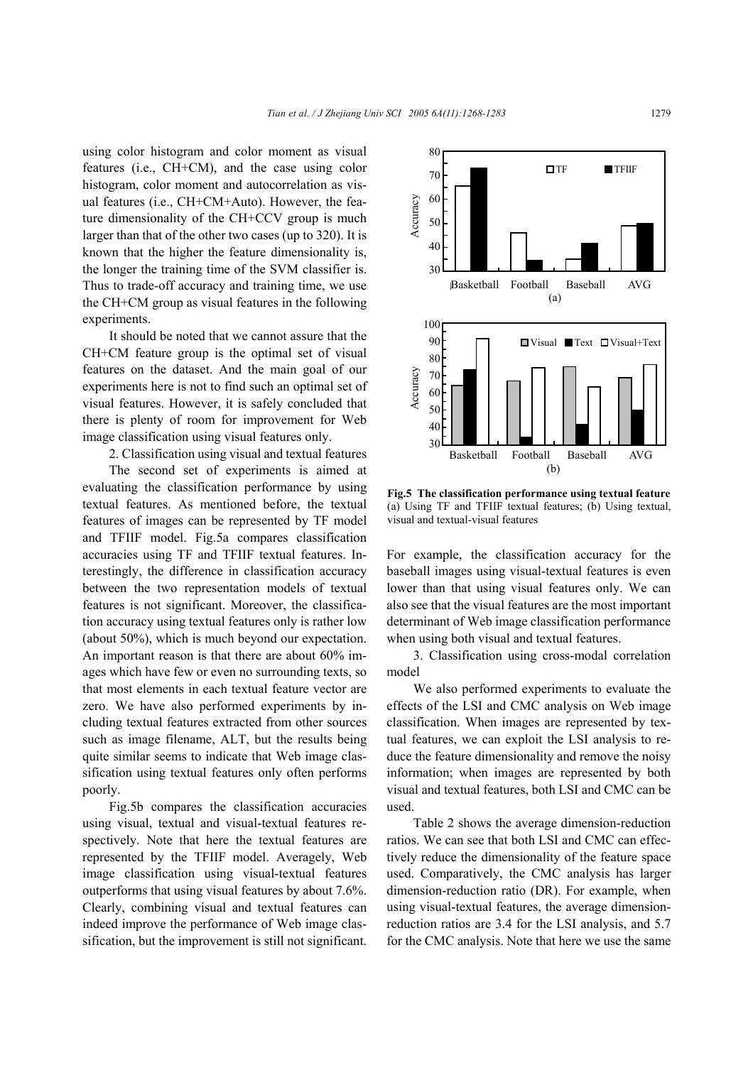using color histogram and color moment as visual features (i.e., CH+CM), and the case using color histogram, color moment and autocorrelation as visual features (i.e., CH+CM+Auto). However, the feature dimensionality of the CH+CCV group is much larger than that of the other two cases (up to 320). It is known that the higher the feature dimensionality is, the longer the training time of the SVM classifier is. Thus to trade-off accuracy and training time, we use the CH+CM group as visual features in the following experiments.

It should be noted that we cannot assure that the CH+CM feature group is the optimal set of visual features on the dataset. And the main goal of our experiments here is not to find such an optimal set of visual features. However, it is safely concluded that there is plenty of room for improvement for Web image classification using visual features only.

2. Classification using visual and textual features The second set of experiments is aimed at evaluating the classification performance by using textual features. As mentioned before, the textual features of images can be represented by TF model and TFIIF model. Fig.5a compares classification accuracies using TF and TFIIF textual features. Interestingly, the difference in classification accuracy between the two representation models of textual features is not significant. Moreover, the classification accuracy using textual features only is rather low (about 50%), which is much beyond our expectation. An important reason is that there are about 60% images which have few or even no surrounding texts, so that most elements in each textual feature vector are zero. We have also performed experiments by including textual features extracted from other sources such as image filename, ALT, but the results being quite similar seems to indicate that Web image classification using textual features only often performs poorly.

Fig.5b compares the classification accuracies using visual, textual and visual-textual features respectively. Note that here the textual features are represented by the TFIIF model. Averagely, Web image classification using visual-textual features outperforms that using visual features by about 7.6%. Clearly, combining visual and textual features can indeed improve the performance of Web image classification, but the improvement is still not significant.



**Fig.5 The classification performance using textual feature** (a) Using TF and TFIIF textual features; (b) Using textual, visual and textual-visual features

For example, the classification accuracy for the baseball images using visual-textual features is even lower than that using visual features only. We can also see that the visual features are the most important determinant of Web image classification performance when using both visual and textual features.

3. Classification using cross-modal correlation model

We also performed experiments to evaluate the effects of the LSI and CMC analysis on Web image classification. When images are represented by textual features, we can exploit the LSI analysis to reduce the feature dimensionality and remove the noisy information; when images are represented by both visual and textual features, both LSI and CMC can be used.

Table 2 shows the average dimension-reduction ratios. We can see that both LSI and CMC can effectively reduce the dimensionality of the feature space used. Comparatively, the CMC analysis has larger dimension-reduction ratio (DR). For example, when using visual-textual features, the average dimensionreduction ratios are 3.4 for the LSI analysis, and 5.7 for the CMC analysis. Note that here we use the same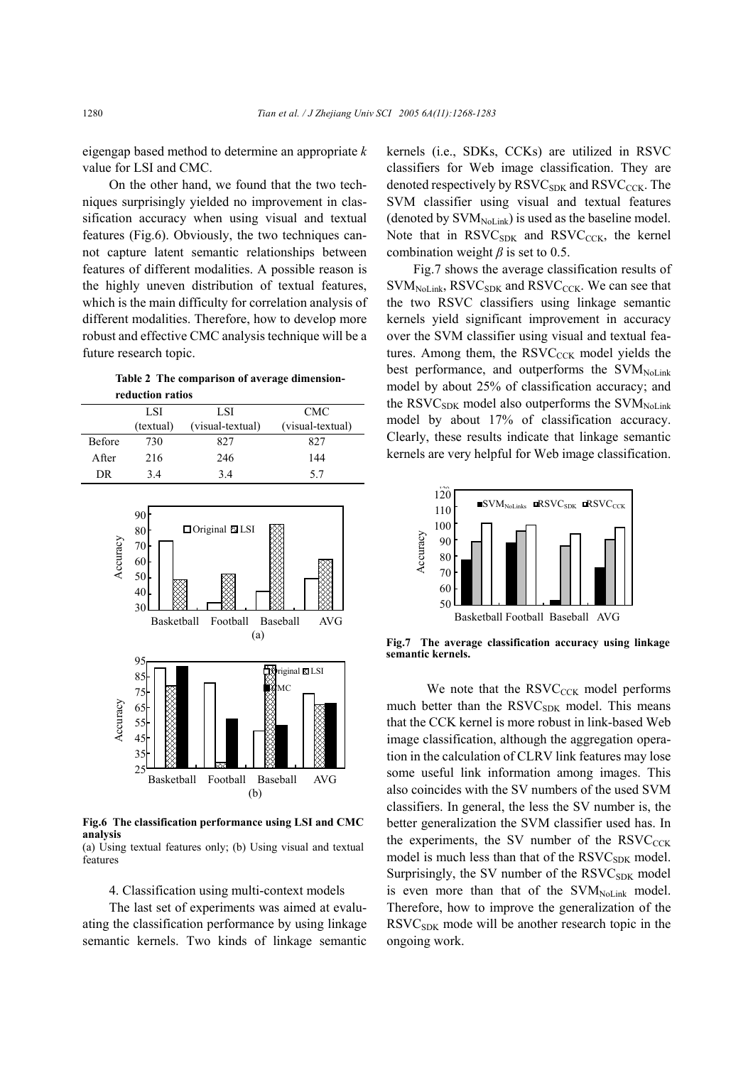eigengap based method to determine an appropriate *k* value for LSI and CMC.

On the other hand, we found that the two techniques surprisingly yielded no improvement in classification accuracy when using visual and textual features (Fig.6). Obviously, the two techniques cannot capture latent semantic relationships between features of different modalities. A possible reason is the highly uneven distribution of textual features, which is the main difficulty for correlation analysis of different modalities. Therefore, how to develop more robust and effective CMC analysis technique will be a future research topic.

**Table 2 The comparison of average dimensionreduction ratios** 

|          | LSI                                                  | LSI                                | <b>CMC</b>                  |  |  |
|----------|------------------------------------------------------|------------------------------------|-----------------------------|--|--|
|          | (textual)                                            | (visual-textual)                   | (visual-textual)            |  |  |
| Before   | 730                                                  | 827                                | 827                         |  |  |
| After    | 216                                                  | 246                                | 144                         |  |  |
| DR       | 3.4                                                  | 3.4                                | 5.7                         |  |  |
| Accuracy | 90<br>80<br>70<br>60<br>50<br>40<br>30<br>Basketball | □ Original □LSI<br>Football<br>(a) | <b>AVG</b><br>Baseball      |  |  |
| Accuracy | 95<br>85<br>75<br>65<br>55<br>45<br>35<br>25         |                                    | riginal <b>Z</b> LSI<br>ØМC |  |  |

**Fig.6 The classification performance using LSI and CMC analysis** 

Basketball Football Baseball AVG Basketball Football Baseball AVG

(b)

(a) Using textual features only; (b) Using visual and textual features

### 4. Classification using multi-context models

The last set of experiments was aimed at evaluating the classification performance by using linkage semantic kernels. Two kinds of linkage semantic kernels (i.e., SDKs, CCKs) are utilized in RSVC classifiers for Web image classification. They are denoted respectively by RSVC<sub>SDK</sub> and RSVC<sub>CCK</sub>. The SVM classifier using visual and textual features (denoted by  $\text{SVM}_{\text{NoLink}}$ ) is used as the baseline model. Note that in  $RSVC<sub>SDK</sub>$  and  $RSVC<sub>CCK</sub>$ , the kernel combination weight *β* is set to 0.5.

Fig.7 shows the average classification results of  $SVM<sub>NoLink</sub>, RSVC<sub>SDK</sub>$  and  $RSVC<sub>CCK</sub>$ . We can see that the two RSVC classifiers using linkage semantic kernels yield significant improvement in accuracy over the SVM classifier using visual and textual features. Among them, the  $RSVC<sub>CCK</sub>$  model yields the best performance, and outperforms the  $SVM<sub>NoLink</sub>$ model by about 25% of classification accuracy; and the  $RSVC<sub>SDK</sub>$  model also outperforms the  $SVM<sub>NoLink</sub>$ model by about 17% of classification accuracy. Clearly, these results indicate that linkage semantic kernels are very helpful for Web image classification.



**Fig.7 The average classification accuracy using linkage semantic kernels.** 

We note that the RSVC<sub>CCK</sub> model performs much better than the  $RSVC<sub>SDK</sub>$  model. This means that the CCK kernel is more robust in link-based Web image classification, although the aggregation operation in the calculation of CLRV link features may lose some useful link information among images. This also coincides with the SV numbers of the used SVM classifiers. In general, the less the SV number is, the better generalization the SVM classifier used has. In the experiments, the SV number of the  $RSVC<sub>CK</sub>$ model is much less than that of the  $RSVC<sub>SDK</sub>$  model. Surprisingly, the SV number of the  $RSVC<sub>SDK</sub>$  model is even more than that of the SVMNoLink model. Therefore, how to improve the generalization of the  $RSVC<sub>SDK</sub>$  mode will be another research topic in the ongoing work.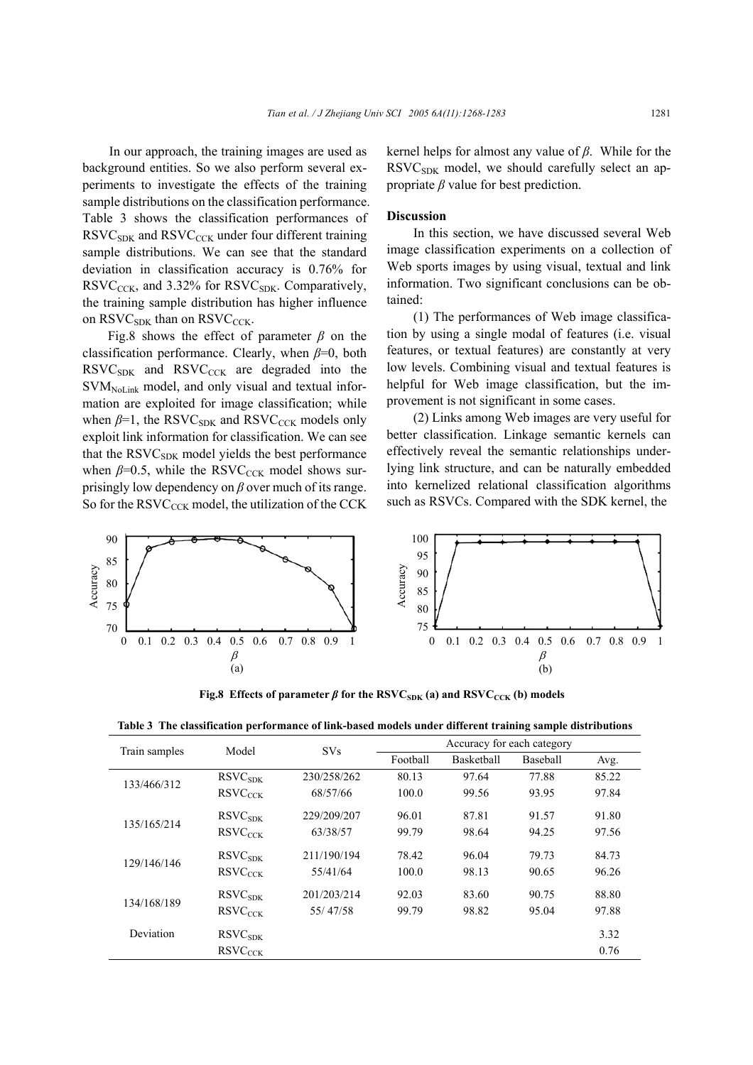In our approach, the training images are used as background entities. So we also perform several experiments to investigate the effects of the training sample distributions on the classification performance. Table 3 shows the classification performances of  $RSVC<sub>SDK</sub>$  and  $RSVC<sub>CCK</sub>$  under four different training sample distributions. We can see that the standard deviation in classification accuracy is 0.76% for  $RSVC<sub>CCK</sub>$ , and 3.32% for  $RSVC<sub>SDK</sub>$ . Comparatively, the training sample distribution has higher influence on  $RSVC<sub>SDK</sub>$  than on  $RSVC<sub>CK</sub>$ .

Fig.8 shows the effect of parameter *β* on the classification performance. Clearly, when *β*=0, both  $RSVC<sub>SDK</sub>$  and  $RSVC<sub>CCK</sub>$  are degraded into the  $SVM<sub>NoLink</sub>$  model, and only visual and textual information are exploited for image classification; while when  $\beta$ =1, the RSVC<sub>SDK</sub> and RSVC<sub>CCK</sub> models only exploit link information for classification. We can see that the  $RSVC<sub>SDK</sub>$  model yields the best performance when  $\beta$ =0.5, while the RSVC<sub>CCK</sub> model shows surprisingly low dependency on *β* over much of its range. So for the RSVC<sub>CCK</sub> model, the utilization of the CCK kernel helps for almost any value of *β*. While for the  $RSVC<sub>SDK</sub> model, we should carefully select an ap$ propriate *β* value for best prediction.

#### **Discussion**

In this section, we have discussed several Web image classification experiments on a collection of Web sports images by using visual, textual and link information. Two significant conclusions can be obtained:

(1) The performances of Web image classification by using a single modal of features (i.e. visual features, or textual features) are constantly at very low levels. Combining visual and textual features is helpful for Web image classification, but the improvement is not significant in some cases.

(2) Links among Web images are very useful for better classification. Linkage semantic kernels can effectively reveal the semantic relationships underlying link structure, and can be naturally embedded into kernelized relational classification algorithms such as RSVCs. Compared with the SDK kernel, the



**Fig.8** Effects of parameter  $\beta$  for the RSVC<sub>SDK</sub> (a) and RSVC<sub>CCK</sub> (b) models

|  | Table 3 The classification performance of link-based models under different training sample distributions |  |  |
|--|-----------------------------------------------------------------------------------------------------------|--|--|
|  |                                                                                                           |  |  |

| Train samples | Model               | <b>SVs</b>  | Accuracy for each category |            |                 |       |  |
|---------------|---------------------|-------------|----------------------------|------------|-----------------|-------|--|
|               |                     |             | Football                   | Basketball | <b>Baseball</b> | Avg.  |  |
| 133/466/312   | RSVC <sub>SDK</sub> | 230/258/262 | 80.13                      | 97.64      | 77.88           | 85.22 |  |
|               | <b>RSVCCCK</b>      | 68/57/66    | 100.0                      | 99.56      | 93.95           | 97.84 |  |
| 135/165/214   | RSVC <sub>SDK</sub> | 229/209/207 | 96.01                      | 87.81      | 91.57           | 91.80 |  |
|               | <b>RSVCCCK</b>      | 63/38/57    | 99.79                      | 98.64      | 94.25           | 97.56 |  |
| 129/146/146   | RSVC <sub>SDK</sub> | 211/190/194 | 78.42                      | 96.04      | 79.73           | 84.73 |  |
|               | <b>RSVCCCK</b>      | 55/41/64    | 100.0                      | 98.13      | 90.65           | 96.26 |  |
| 134/168/189   | RSVC <sub>SDK</sub> | 201/203/214 | 92.03                      | 83.60      | 90.75           | 88.80 |  |
|               | RSVC <sub>CK</sub>  | 55/47/58    | 99.79                      | 98.82      | 95.04           | 97.88 |  |
| Deviation     | $RSVCSDK$           |             |                            |            |                 | 3.32  |  |
|               | <b>RSVCCCK</b>      |             |                            |            |                 | 0.76  |  |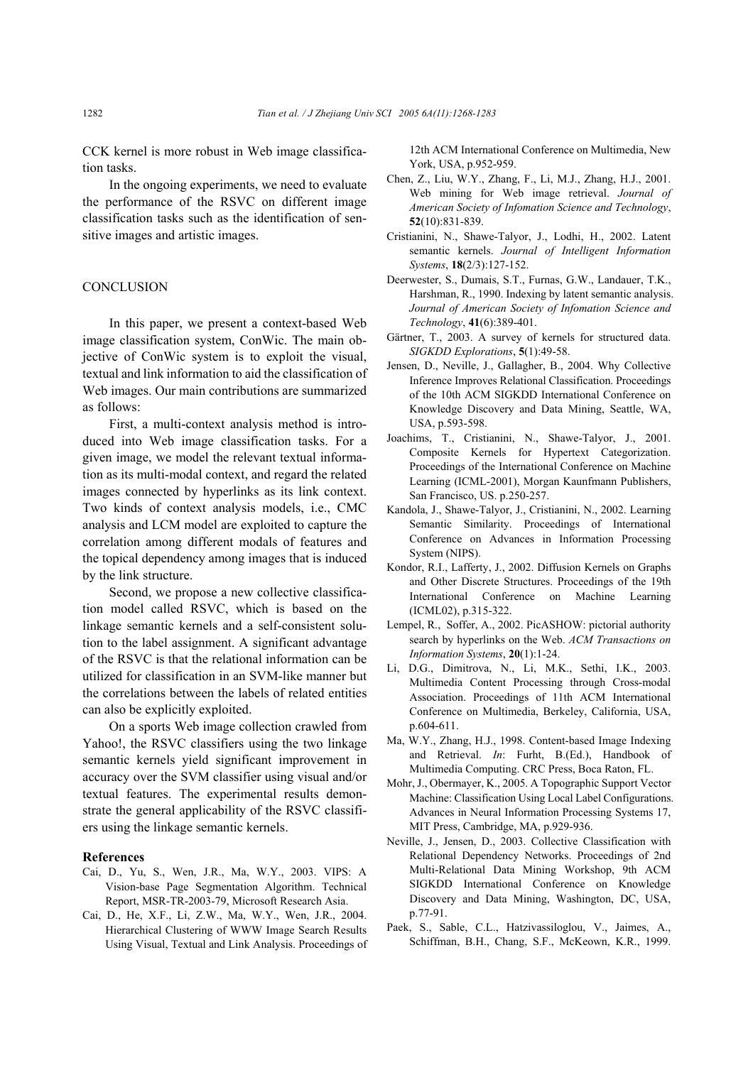CCK kernel is more robust in Web image classification tasks.

In the ongoing experiments, we need to evaluate the performance of the RSVC on different image classification tasks such as the identification of sensitive images and artistic images.

### **CONCLUSION**

In this paper, we present a context-based Web image classification system, ConWic. The main objective of ConWic system is to exploit the visual, textual and link information to aid the classification of Web images. Our main contributions are summarized as follows:

First, a multi-context analysis method is introduced into Web image classification tasks. For a given image, we model the relevant textual information as its multi-modal context, and regard the related images connected by hyperlinks as its link context. Two kinds of context analysis models, i.e., CMC analysis and LCM model are exploited to capture the correlation among different modals of features and the topical dependency among images that is induced by the link structure.

Second, we propose a new collective classification model called RSVC, which is based on the linkage semantic kernels and a self-consistent solution to the label assignment. A significant advantage of the RSVC is that the relational information can be utilized for classification in an SVM-like manner but the correlations between the labels of related entities can also be explicitly exploited.

On a sports Web image collection crawled from Yahoo!, the RSVC classifiers using the two linkage semantic kernels yield significant improvement in accuracy over the SVM classifier using visual and/or textual features. The experimental results demonstrate the general applicability of the RSVC classifiers using the linkage semantic kernels.

#### **References**

- Cai, D., Yu, S., Wen, J.R., Ma, W.Y., 2003. VIPS: A Vision-base Page Segmentation Algorithm. Technical Report, MSR-TR-2003-79, Microsoft Research Asia.
- Cai, D., He, X.F., Li, Z.W., Ma, W.Y., Wen, J.R., 2004. Hierarchical Clustering of WWW Image Search Results Using Visual, Textual and Link Analysis. Proceedings of

12th ACM International Conference on Multimedia, New York, USA, p.952-959.

- Chen, Z., Liu, W.Y., Zhang, F., Li, M.J., Zhang, H.J., 2001. Web mining for Web image retrieval. *Journal of American Society of Infomation Science and Technology*, **52**(10):831-839.
- Cristianini, N., Shawe-Talyor, J., Lodhi, H., 2002. Latent semantic kernels. *Journal of Intelligent Information Systems*, **18**(2/3):127-152.
- Deerwester, S., Dumais, S.T., Furnas, G.W., Landauer, T.K., Harshman, R., 1990. Indexing by latent semantic analysis. *Journal of American Society of Infomation Science and Technology*, **41**(6):389-401.
- Gärtner, T., 2003. A survey of kernels for structured data. *SIGKDD Explorations*, **5**(1):49-58.
- Jensen, D., Neville, J., Gallagher, B., 2004. Why Collective Inference Improves Relational Classification. Proceedings of the 10th ACM SIGKDD International Conference on Knowledge Discovery and Data Mining, Seattle, WA, USA, p.593-598.
- Joachims, T., Cristianini, N., Shawe-Talyor, J., 2001. Composite Kernels for Hypertext Categorization. Proceedings of the International Conference on Machine Learning (ICML-2001), Morgan Kaunfmann Publishers, San Francisco, US. p.250-257.
- Kandola, J., Shawe-Talyor, J., Cristianini, N., 2002. Learning Semantic Similarity. Proceedings of International Conference on Advances in Information Processing System (NIPS).
- Kondor, R.I., Lafferty, J., 2002. Diffusion Kernels on Graphs and Other Discrete Structures. Proceedings of the 19th International Conference on Machine Learning (ICML02), p.315-322.
- Lempel, R., Soffer, A., 2002. PicASHOW: pictorial authority search by hyperlinks on the Web. *ACM Transactions on Information Systems*, **20**(1):1-24.
- Li, D.G., Dimitrova, N., Li, M.K., Sethi, I.K., 2003. Multimedia Content Processing through Cross-modal Association. Proceedings of 11th ACM International Conference on Multimedia, Berkeley, California, USA, p.604-611.
- Ma, W.Y., Zhang, H.J., 1998. Content-based Image Indexing and Retrieval. *In*: Furht, B.(Ed.), Handbook of Multimedia Computing. CRC Press, Boca Raton, FL.
- Mohr, J., Obermayer, K., 2005. A Topographic Support Vector Machine: Classification Using Local Label Configurations. Advances in Neural Information Processing Systems 17, MIT Press, Cambridge, MA, p.929-936.
- Neville, J., Jensen, D., 2003. Collective Classification with Relational Dependency Networks. Proceedings of 2nd Multi-Relational Data Mining Workshop, 9th ACM SIGKDD International Conference on Knowledge Discovery and Data Mining, Washington, DC, USA, p.77-91.
- Paek, S., Sable, C.L., Hatzivassiloglou, V., Jaimes, A., Schiffman, B.H., Chang, S.F., McKeown, K.R., 1999.